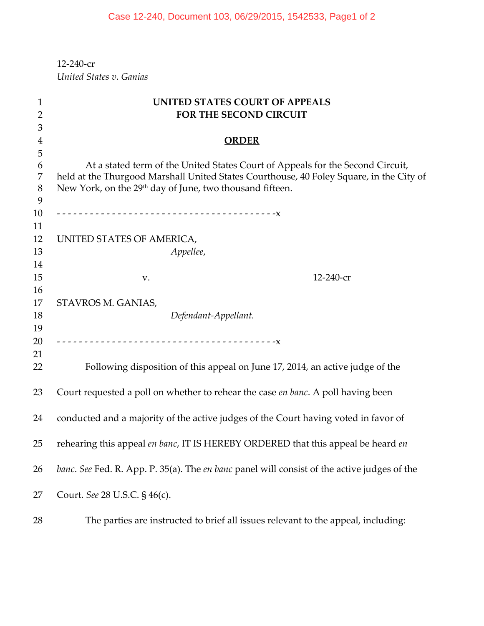‐240‐cr *United States v. Ganias*

| 1              | UNITED STATES COURT OF APPEALS                                                                                                                                  |  |
|----------------|-----------------------------------------------------------------------------------------------------------------------------------------------------------------|--|
| $\overline{2}$ | FOR THE SECOND CIRCUIT                                                                                                                                          |  |
| 3              |                                                                                                                                                                 |  |
| 4              | <b>ORDER</b>                                                                                                                                                    |  |
| 5              |                                                                                                                                                                 |  |
| 6              | At a stated term of the United States Court of Appeals for the Second Circuit,                                                                                  |  |
| 7<br>8         | held at the Thurgood Marshall United States Courthouse, 40 Foley Square, in the City of<br>New York, on the 29 <sup>th</sup> day of June, two thousand fifteen. |  |
| 9              |                                                                                                                                                                 |  |
| 10             |                                                                                                                                                                 |  |
| 11             |                                                                                                                                                                 |  |
| 12             | UNITED STATES OF AMERICA,                                                                                                                                       |  |
| 13             | Appellee,                                                                                                                                                       |  |
| 14             |                                                                                                                                                                 |  |
| 15             | 12-240-cr<br>${\bf V}$ .                                                                                                                                        |  |
| 16             |                                                                                                                                                                 |  |
| 17             | STAVROS M. GANIAS,                                                                                                                                              |  |
| 18             | Defendant-Appellant.                                                                                                                                            |  |
| 19             |                                                                                                                                                                 |  |
| 20             |                                                                                                                                                                 |  |
| 21             |                                                                                                                                                                 |  |
| 22             | Following disposition of this appeal on June 17, 2014, an active judge of the                                                                                   |  |
| 23             | Court requested a poll on whether to rehear the case en banc. A poll having been                                                                                |  |
| 24             | conducted and a majority of the active judges of the Court having voted in favor of                                                                             |  |
|                |                                                                                                                                                                 |  |
| 25             | rehearing this appeal en banc, IT IS HEREBY ORDERED that this appeal be heard en                                                                                |  |
| 26             | banc. See Fed. R. App. P. 35(a). The en banc panel will consist of the active judges of the                                                                     |  |
| 27             | Court. See 28 U.S.C. § 46(c).                                                                                                                                   |  |
| 28             | The parties are instructed to brief all issues relevant to the appeal, including:                                                                               |  |